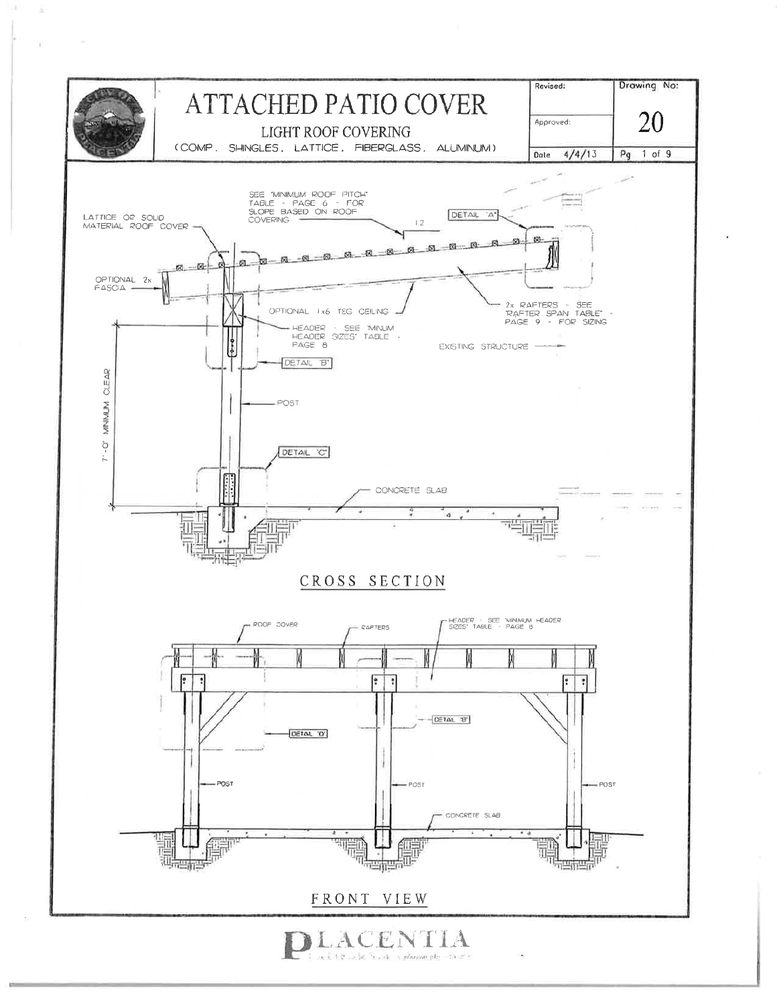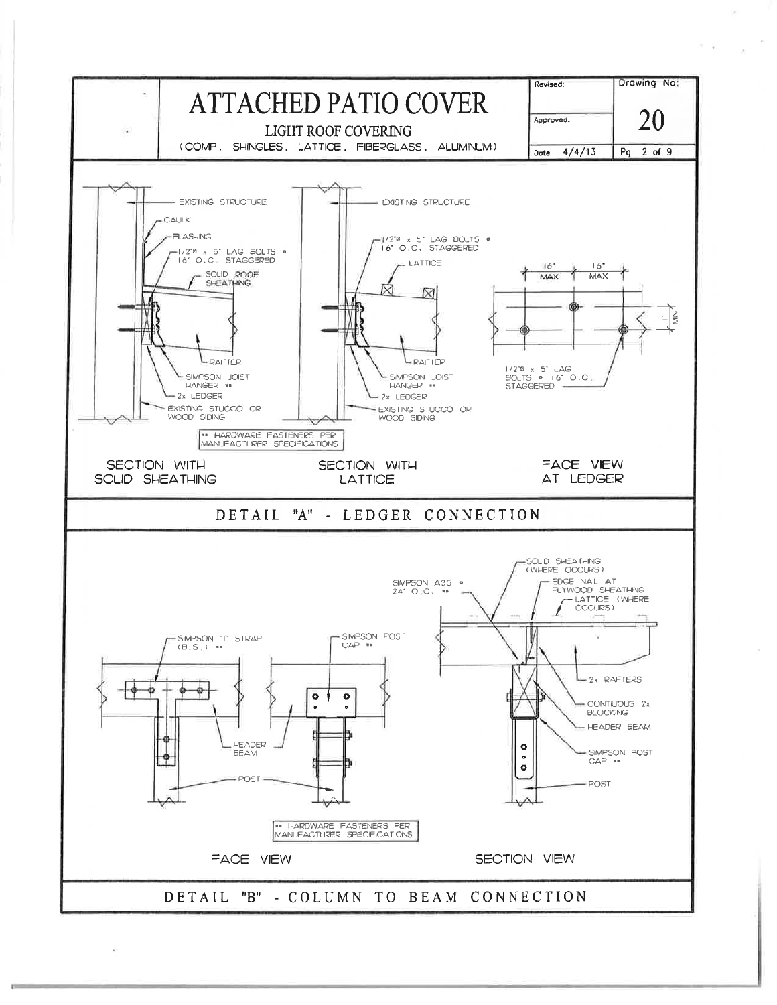

 $\tau=\varphi$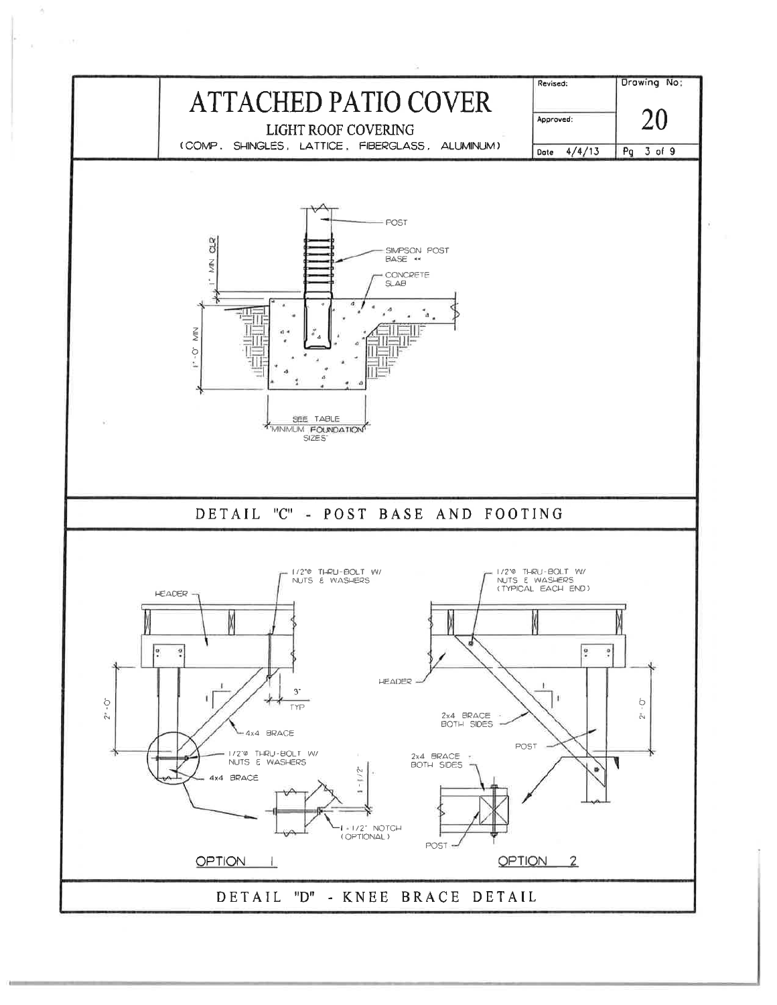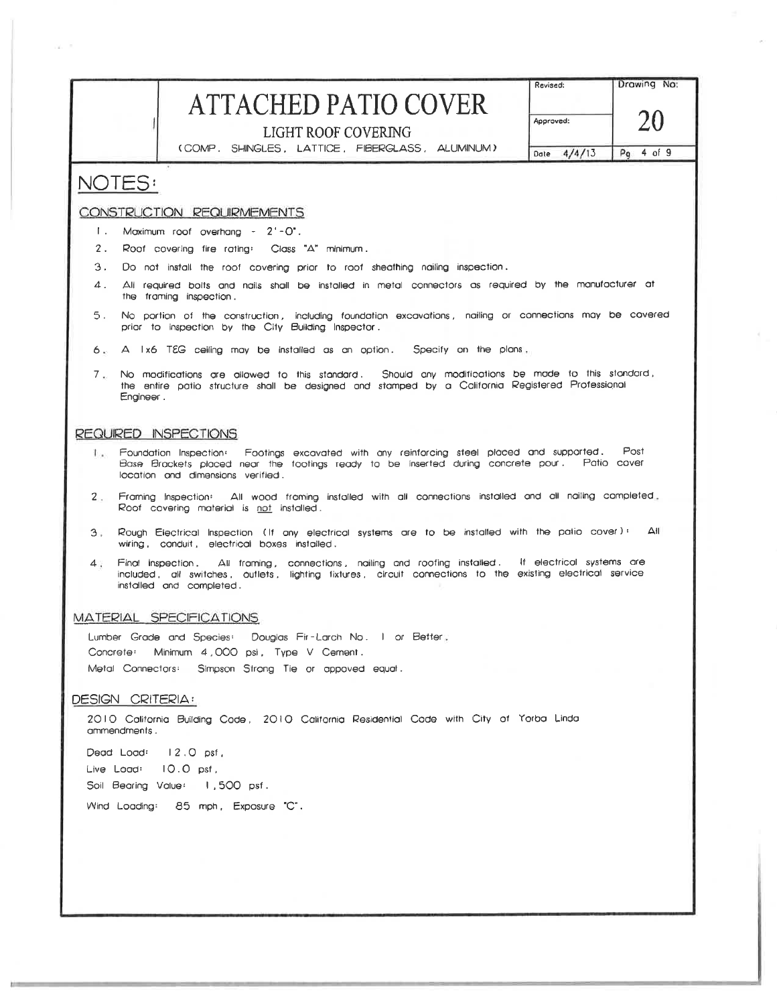## **ATTACHED PATIO COVER**

Drawing No:

Revised:

LIGHT ROOF COVERING

(COMP. SHINGLES, LATTICE, FIBERGLASS, ALUMINUM)

20 Approved: Date 4/4/13  $4$  of 9  $Pq$ 

### NOTES:

 $\alpha$  .

### CONSTRUCTION REQUIRMEMENTS

- Maximum roof overhang 2'-0".  $\mathbf{L}$
- 2. Roof covering fire rating: Class "A" minimum.
- 3. Do not install the roof covering prior to roof sheathing nailing inspection.
- $\Delta$ . All required bolts and nails shall be installed in metal connectors as required by the manufacturer at the framing inspection.
- No portion of the construction ,including foundation excavations , nailing or connections may be covered<br>prior to inspection by the City Building Inspector .  $5.$
- 6. A Ix6 TEG ceiling may be installed as an option. Specify on the plans,
- 7. No modifications are allowed to this standard. Should any modifications be made to this standard, the entire patio structure shall be designed and stamped by a California Registered Professional Engineer.

#### REQUIRED INSPECTIONS

- Foundation Inspection: Footings excavated with any reinforcing steel placed and supported. Post L. Base Brackets placed near the footings ready to be inserted during concrete pour. Patio cover location and dimensions verified.
- Framing Inspection: All wood framing installed with all connections installed and all nailing completed.  $2 -$ Roof covering material is not installed.
- Rough Electrical Inspection (If any electrical systems are to be installed with the patio cover): All  $3$ wiring, conduit, electrical boxes installed.
- Final Inspection. All framing, connections, nailing and rooting installed. If electrical systems are<br>included, all switches, outlets, lighting fixtures, circuit connections to the existing electrical service  $\mathbf{A}$ . installed and completed.

### MATERIAL SPECIFICATIONS

Lumber Grade and Species: Douglas Fir-Larch No. 1 or Better, Concrete: Minimum 4,000 psi, Type V Cement. Metal Connectors: Simpson Strong Tie or appoved equal.

DESIGN CRITERIA:

2010 California Building Code, 2010 California Residential Code with City of Yorba Linda ammendments.

Dead Load: 12.0 psf, Live Load: 10.0 pst, Soil Bearing Value: 1,500 psf. Wind Loading: 85 mph, Exposure "C".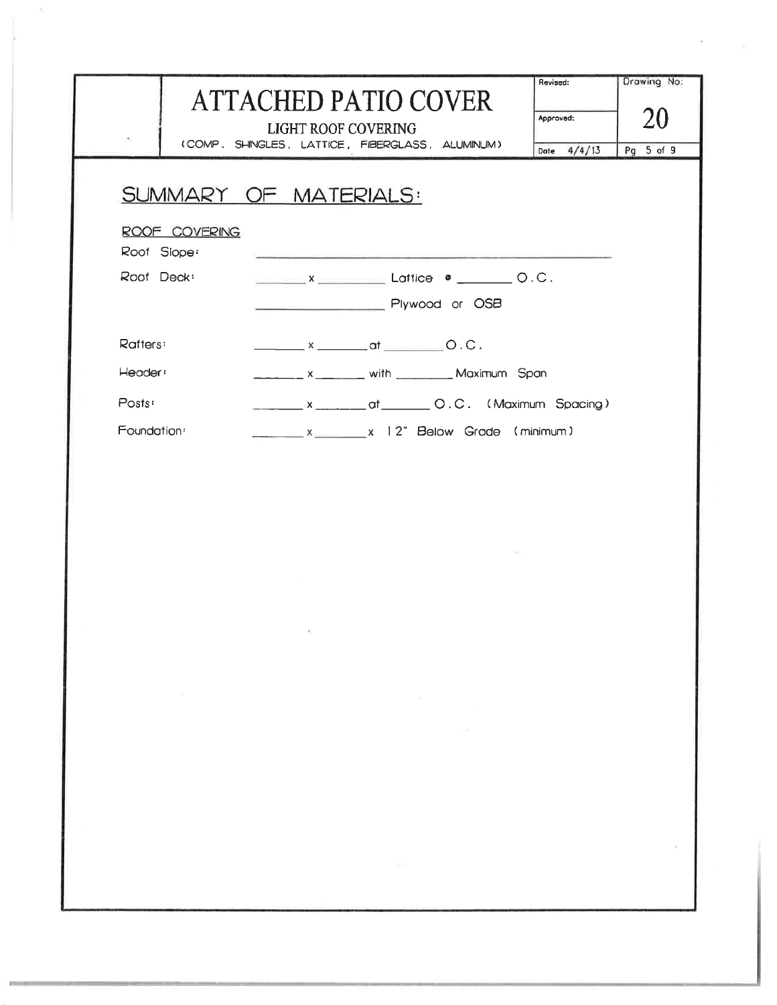|                         | <b>ATTACHED PATIO COVER</b><br><b>LIGHT ROOF COVERING</b><br>(COMP. SHINGLES, LATTICE, FIBERGLASS, ALUMINUM) |                                                | Revised:<br>Approved:<br>Date 4/4/13 | Drawing No:<br>20<br>Pg 5 of 9 |
|-------------------------|--------------------------------------------------------------------------------------------------------------|------------------------------------------------|--------------------------------------|--------------------------------|
|                         | SUMMARY OF MATERIALS:                                                                                        |                                                |                                      |                                |
| ROOF COVERING           |                                                                                                              |                                                |                                      |                                |
| Roof Slope:             |                                                                                                              |                                                |                                      |                                |
| Roof Deck <sup>®</sup>  |                                                                                                              |                                                |                                      |                                |
|                         | Plywood or OSB                                                                                               |                                                |                                      |                                |
| Rafters:                | $x = 0.0$ .                                                                                                  |                                                |                                      |                                |
| Header:                 |                                                                                                              |                                                |                                      |                                |
| Posts:                  | _______ x _______ at _______ O.C. (Maximum Spacing)                                                          |                                                |                                      |                                |
| Foundation <sup>®</sup> | $x = x$ 2" Below Grade (minimum)                                                                             |                                                |                                      |                                |
|                         |                                                                                                              |                                                |                                      |                                |
| $\sim$ 100 $\%$         | X.                                                                                                           | The Committee<br>the control of the control of |                                      |                                |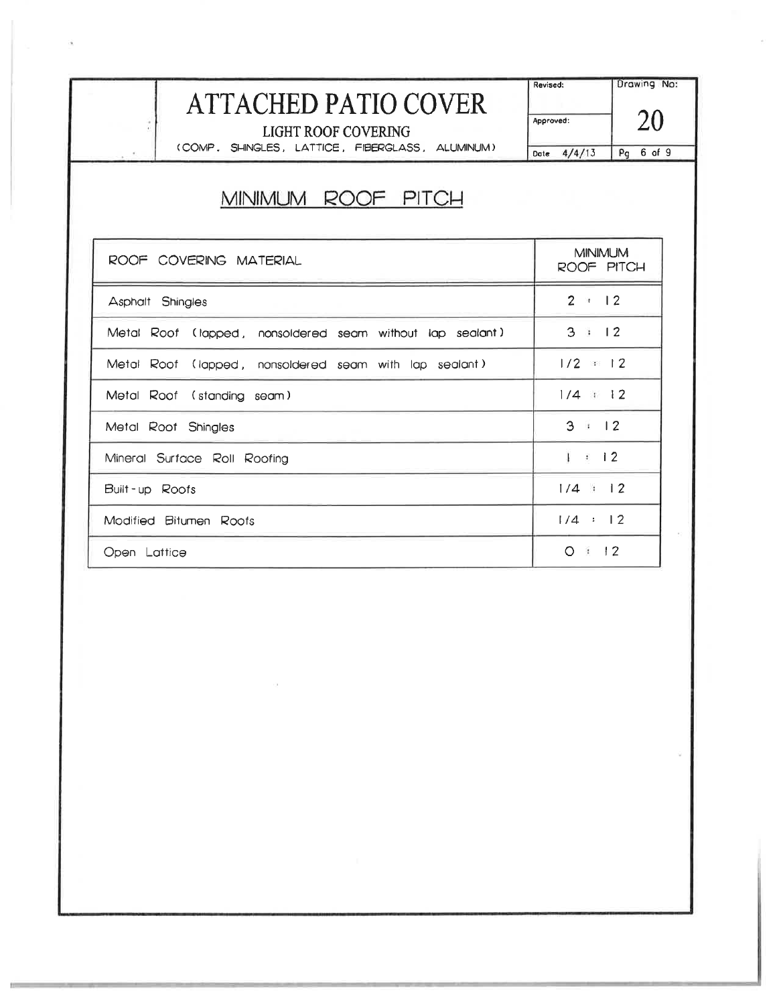| <b>ATTACHED PATIO COVER</b><br>$\bullet$<br>LIGHT ROOF COVERING<br>(COMP, SHINGLES, LATTICE, FIBERGLASS, ALUMINUM) | Revised:<br>Approved:<br>Date $4/4/13$ | Drawing No:<br>20<br>Pg 6 of 9 |  |  |  |
|--------------------------------------------------------------------------------------------------------------------|----------------------------------------|--------------------------------|--|--|--|
| MINIMUM ROOF PITCH                                                                                                 |                                        |                                |  |  |  |
| ROOF COVERING MATERIAL                                                                                             |                                        | <b>MINIMUM</b><br>ROOF PITCH   |  |  |  |
| Asphalt Shingles                                                                                                   |                                        | $2 \times 12$                  |  |  |  |
| Metal Roof (lapped, nonsoldered seam without lap sealant)                                                          |                                        | 3 : 12                         |  |  |  |
| Metal Roof (lapped, nonsoldered seam with lap sealant)                                                             |                                        | $1/2 = 12$                     |  |  |  |
| Metal Roof (standing seam)                                                                                         |                                        | $1/4$ $1/2$                    |  |  |  |
| Metal Roof Shingles                                                                                                | 3 : 12                                 |                                |  |  |  |
| Mineral Surface Roll Roofing                                                                                       | $1 \pm 12$                             |                                |  |  |  |
| Built-up Roofs                                                                                                     | $1/4$ : 12                             |                                |  |  |  |
| Modified Bitumen Roofs                                                                                             |                                        | 1/4 : 12                       |  |  |  |
| Open Lattice                                                                                                       |                                        | O: 12                          |  |  |  |

 $\alpha$  . The  $\alpha$ 

 $\mathcal{O}^+$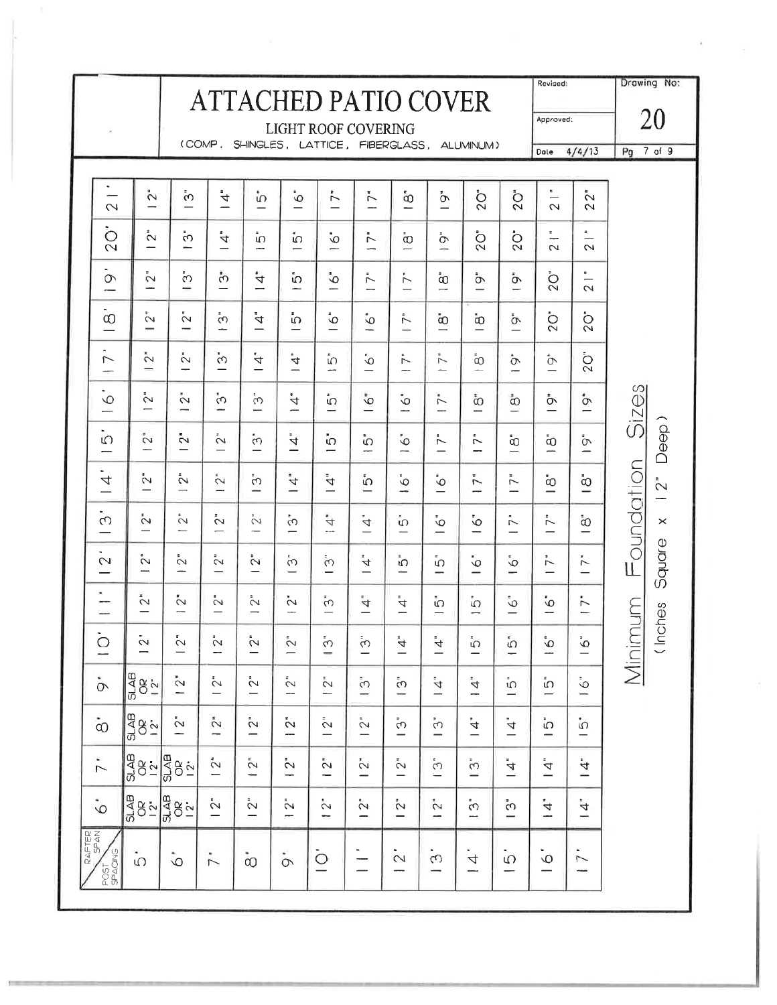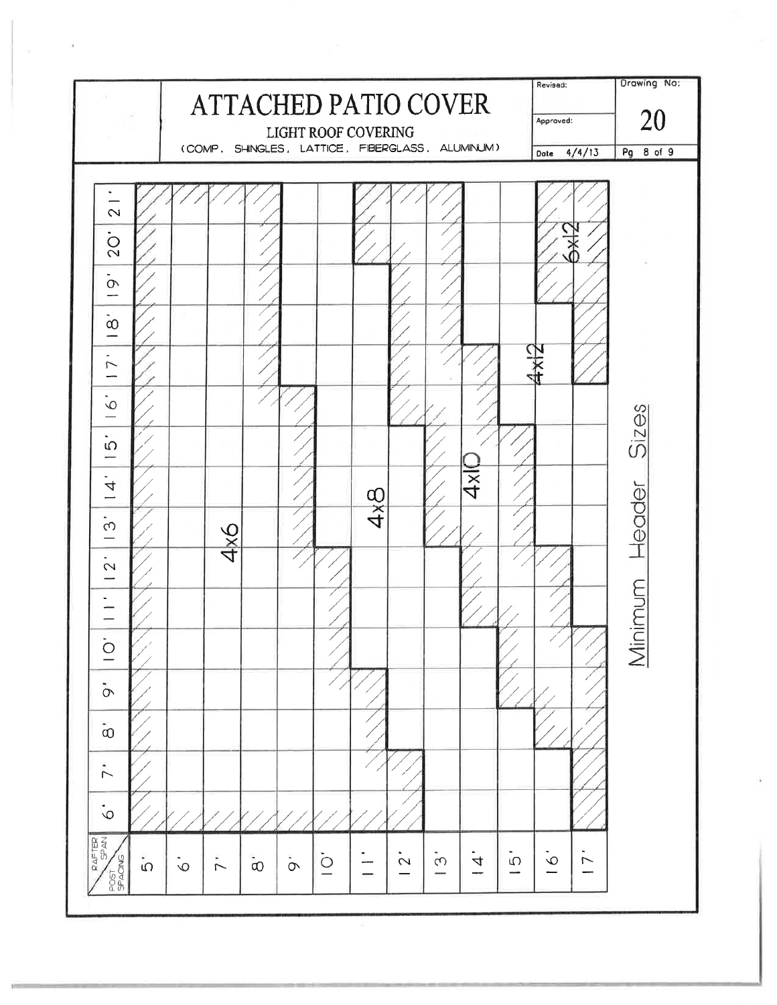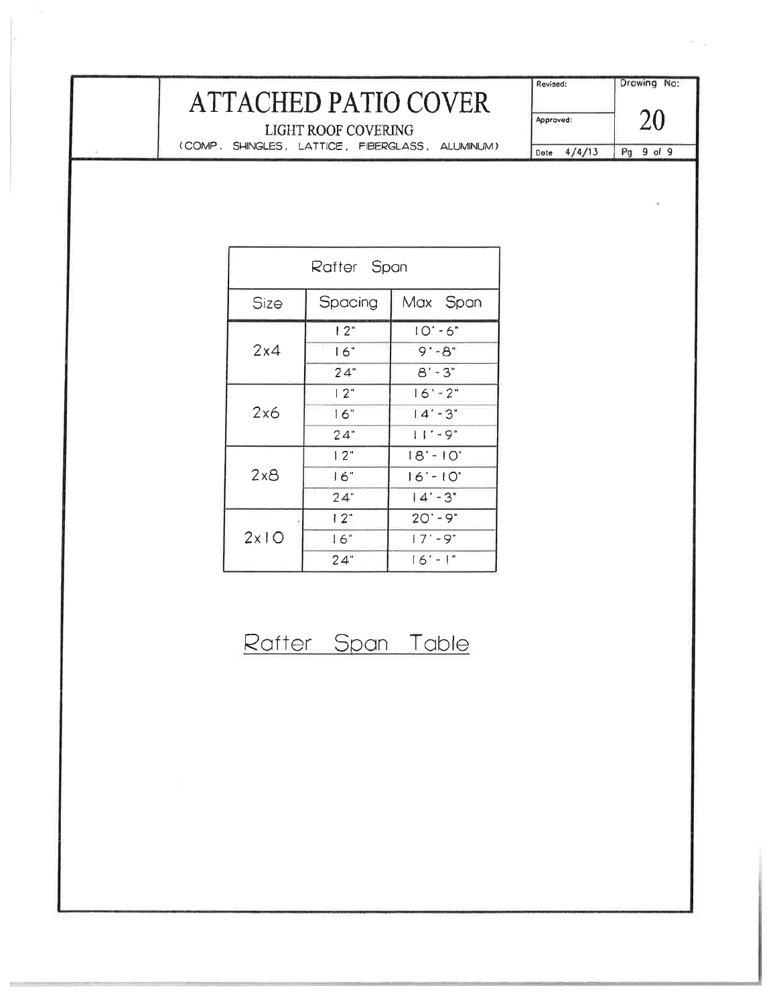# ATTACHED PATIO COVER

Drawing No: Revised: 20 Approved: Pg 9 of 9 Date 4/4/13

LIGHT ROOF COVERING (COMP. SHINGLES, LATTICE, FIBERGLASS, ALUMINUM)

п

| Rafter Span |           |                  |  |  |
|-------------|-----------|------------------|--|--|
| Size        | Spacing   | Max Span         |  |  |
| 2x4         | l 2"      | $10 - 6"$        |  |  |
|             | T.<br>16" | $9 - 8$          |  |  |
|             | 24"       | $8' - 3"$        |  |  |
| 2x6         | 12"       | $16 - 2^{\circ}$ |  |  |
|             | 16"       | $14 - 3"$        |  |  |
|             | 24"       | l I ' - 9°       |  |  |
| 2x8         | 12"       | $18' - 10"$      |  |  |
|             | 16"       | $16' - 10"$      |  |  |
|             | 24"       | $14 - 3$         |  |  |
| 2x10        | 12"       | $20' - 9"$       |  |  |
|             | 16"       | $17 - 9^{\circ}$ |  |  |
|             | 24"       | $16' - 1"$       |  |  |

## Rafter Span Table